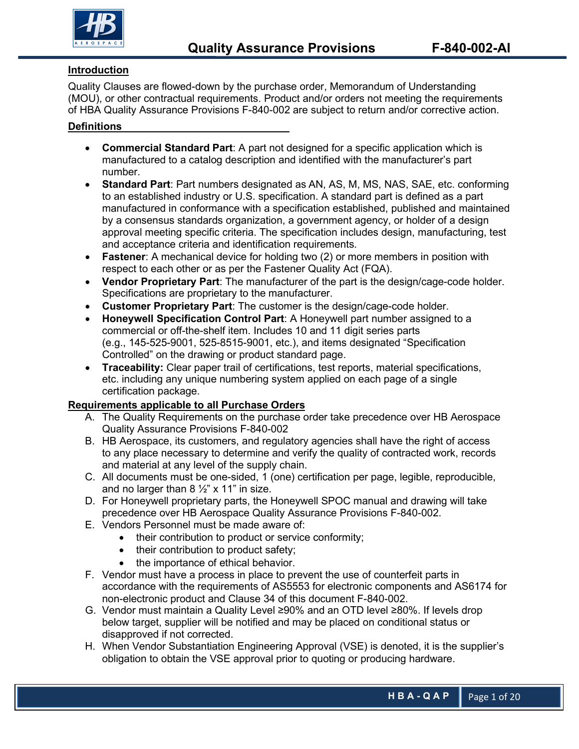

### **Introduction**

Quality Clauses are flowed-down by the purchase order, Memorandum of Understanding (MOU), or other contractual requirements. Product and/or orders not meeting the requirements of HBA Quality Assurance Provisions F-840-002 are subject to return and/or corrective action.

### **Definitions**

- **Commercial Standard Part**: A part not designed for a specific application which is manufactured to a catalog description and identified with the manufacturer's part number.
- **Standard Part**: Part numbers designated as AN, AS, M, MS, NAS, SAE, etc. conforming to an established industry or U.S. specification. A standard part is defined as a part manufactured in conformance with a specification established, published and maintained by a consensus standards organization, a government agency, or holder of a design approval meeting specific criteria. The specification includes design, manufacturing, test and acceptance criteria and identification requirements.
- **Fastener**: A mechanical device for holding two (2) or more members in position with respect to each other or as per the Fastener Quality Act (FQA).
- **Vendor Proprietary Part**: The manufacturer of the part is the design/cage-code holder. Specifications are proprietary to the manufacturer.
- **Customer Proprietary Part**: The customer is the design/cage-code holder.
- **Honeywell Specification Control Part**: A Honeywell part number assigned to a commercial or off-the-shelf item. Includes 10 and 11 digit series parts (e.g., 145-525-9001, 525-8515-9001, etc.), and items designated "Specification Controlled" on the drawing or product standard page.
- **Traceability:** Clear paper trail of certifications, test reports, material specifications, etc. including any unique numbering system applied on each page of a single certification package.

#### **Requirements applicable to all Purchase Orders**

- A. The Quality Requirements on the purchase order take precedence over HB Aerospace Quality Assurance Provisions F-840-002
- B. HB Aerospace, its customers, and regulatory agencies shall have the right of access to any place necessary to determine and verify the quality of contracted work, records and material at any level of the supply chain.
- C. All documents must be one-sided, 1 (one) certification per page, legible, reproducible, and no larger than  $8\frac{1}{2}$  x 11" in size.
- D. For Honeywell proprietary parts, the Honeywell SPOC manual and drawing will take precedence over HB Aerospace Quality Assurance Provisions F-840-002.
- E. Vendors Personnel must be made aware of:
	- their contribution to product or service conformity;
	- their contribution to product safety;
	- the importance of ethical behavior.
- F. Vendor must have a process in place to prevent the use of counterfeit parts in accordance with the requirements of AS5553 for electronic components and AS6174 for non-electronic product and Clause 34 of this document F-840-002.
- G. Vendor must maintain a Quality Level ≥90% and an OTD level ≥80%. If levels drop below target, supplier will be notified and may be placed on conditional status or disapproved if not corrected.
- H. When Vendor Substantiation Engineering Approval (VSE) is denoted, it is the supplier's obligation to obtain the VSE approval prior to quoting or producing hardware.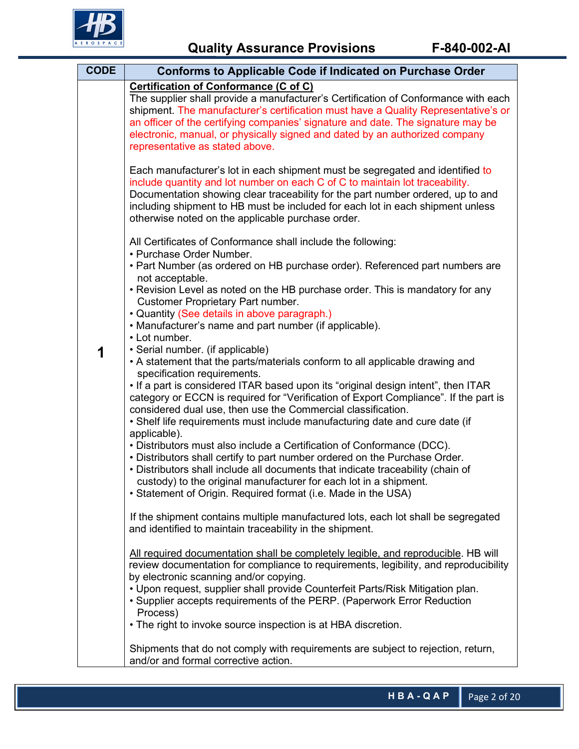

| <b>CODE</b> | <b>Conforms to Applicable Code if Indicated on Purchase Order</b>                                                                                                                                                                                                                                                                                                                                                                                                                                                                                                                                                                                                                                                                                                                                                                                                                                                                                                                                                                                                                                                                                                                                                                                                                                                                                                                                                                                                                                                                                                                                                                                                                                                                                                                             |  |  |  |
|-------------|-----------------------------------------------------------------------------------------------------------------------------------------------------------------------------------------------------------------------------------------------------------------------------------------------------------------------------------------------------------------------------------------------------------------------------------------------------------------------------------------------------------------------------------------------------------------------------------------------------------------------------------------------------------------------------------------------------------------------------------------------------------------------------------------------------------------------------------------------------------------------------------------------------------------------------------------------------------------------------------------------------------------------------------------------------------------------------------------------------------------------------------------------------------------------------------------------------------------------------------------------------------------------------------------------------------------------------------------------------------------------------------------------------------------------------------------------------------------------------------------------------------------------------------------------------------------------------------------------------------------------------------------------------------------------------------------------------------------------------------------------------------------------------------------------|--|--|--|
|             | <b>Certification of Conformance (C of C)</b><br>The supplier shall provide a manufacturer's Certification of Conformance with each<br>shipment. The manufacturer's certification must have a Quality Representative's or<br>an officer of the certifying companies' signature and date. The signature may be<br>electronic, manual, or physically signed and dated by an authorized company<br>representative as stated above.                                                                                                                                                                                                                                                                                                                                                                                                                                                                                                                                                                                                                                                                                                                                                                                                                                                                                                                                                                                                                                                                                                                                                                                                                                                                                                                                                                |  |  |  |
|             | Each manufacturer's lot in each shipment must be segregated and identified to<br>include quantity and lot number on each C of C to maintain lot traceability.<br>Documentation showing clear traceability for the part number ordered, up to and<br>including shipment to HB must be included for each lot in each shipment unless<br>otherwise noted on the applicable purchase order.                                                                                                                                                                                                                                                                                                                                                                                                                                                                                                                                                                                                                                                                                                                                                                                                                                                                                                                                                                                                                                                                                                                                                                                                                                                                                                                                                                                                       |  |  |  |
|             | All Certificates of Conformance shall include the following:<br>• Purchase Order Number.<br>• Part Number (as ordered on HB purchase order). Referenced part numbers are<br>not acceptable.<br>• Revision Level as noted on the HB purchase order. This is mandatory for any<br><b>Customer Proprietary Part number.</b><br>• Quantity (See details in above paragraph.)<br>• Manufacturer's name and part number (if applicable).<br>• Lot number.<br>• Serial number. (if applicable)<br>• A statement that the parts/materials conform to all applicable drawing and<br>specification requirements.<br>. If a part is considered ITAR based upon its "original design intent", then ITAR<br>category or ECCN is required for "Verification of Export Compliance". If the part is<br>considered dual use, then use the Commercial classification.<br>• Shelf life requirements must include manufacturing date and cure date (if<br>applicable).<br>• Distributors must also include a Certification of Conformance (DCC).<br>. Distributors shall certify to part number ordered on the Purchase Order.<br>• Distributors shall include all documents that indicate traceability (chain of<br>custody) to the original manufacturer for each lot in a shipment.<br>• Statement of Origin. Required format (i.e. Made in the USA)<br>If the shipment contains multiple manufactured lots, each lot shall be segregated<br>and identified to maintain traceability in the shipment.<br>All required documentation shall be completely legible, and reproducible. HB will<br>review documentation for compliance to requirements, legibility, and reproducibility<br>by electronic scanning and/or copying.<br>• Upon request, supplier shall provide Counterfeit Parts/Risk Mitigation plan. |  |  |  |
|             | • Supplier accepts requirements of the PERP. (Paperwork Error Reduction<br>Process)<br>• The right to invoke source inspection is at HBA discretion.                                                                                                                                                                                                                                                                                                                                                                                                                                                                                                                                                                                                                                                                                                                                                                                                                                                                                                                                                                                                                                                                                                                                                                                                                                                                                                                                                                                                                                                                                                                                                                                                                                          |  |  |  |
|             | Shipments that do not comply with requirements are subject to rejection, return,<br>and/or and formal corrective action.                                                                                                                                                                                                                                                                                                                                                                                                                                                                                                                                                                                                                                                                                                                                                                                                                                                                                                                                                                                                                                                                                                                                                                                                                                                                                                                                                                                                                                                                                                                                                                                                                                                                      |  |  |  |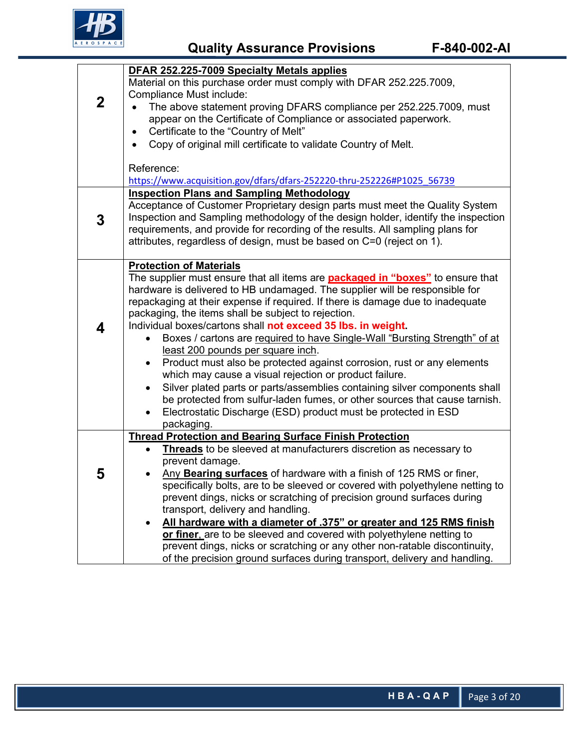

|             | DFAR 252.225-7009 Specialty Metals applies                                                                                                              |  |  |  |  |  |  |
|-------------|---------------------------------------------------------------------------------------------------------------------------------------------------------|--|--|--|--|--|--|
|             | Material on this purchase order must comply with DFAR 252.225.7009,                                                                                     |  |  |  |  |  |  |
| $\mathbf 2$ | Compliance Must include:                                                                                                                                |  |  |  |  |  |  |
|             | The above statement proving DFARS compliance per 252.225.7009, must                                                                                     |  |  |  |  |  |  |
|             | appear on the Certificate of Compliance or associated paperwork.                                                                                        |  |  |  |  |  |  |
|             | Certificate to the "Country of Melt"                                                                                                                    |  |  |  |  |  |  |
|             | Copy of original mill certificate to validate Country of Melt.<br>$\bullet$                                                                             |  |  |  |  |  |  |
|             | Reference:                                                                                                                                              |  |  |  |  |  |  |
|             | https://www.acquisition.gov/dfars/dfars-252220-thru-252226#P1025_56739                                                                                  |  |  |  |  |  |  |
|             | <b>Inspection Plans and Sampling Methodology</b>                                                                                                        |  |  |  |  |  |  |
|             | Acceptance of Customer Proprietary design parts must meet the Quality System                                                                            |  |  |  |  |  |  |
| 3           | Inspection and Sampling methodology of the design holder, identify the inspection                                                                       |  |  |  |  |  |  |
|             | requirements, and provide for recording of the results. All sampling plans for                                                                          |  |  |  |  |  |  |
|             | attributes, regardless of design, must be based on C=0 (reject on 1).                                                                                   |  |  |  |  |  |  |
|             | <b>Protection of Materials</b>                                                                                                                          |  |  |  |  |  |  |
|             | The supplier must ensure that all items are <b>packaged in "boxes"</b> to ensure that                                                                   |  |  |  |  |  |  |
|             | hardware is delivered to HB undamaged. The supplier will be responsible for                                                                             |  |  |  |  |  |  |
|             | repackaging at their expense if required. If there is damage due to inadequate                                                                          |  |  |  |  |  |  |
|             | packaging, the items shall be subject to rejection.                                                                                                     |  |  |  |  |  |  |
| 4           | Individual boxes/cartons shall not exceed 35 lbs. in weight.                                                                                            |  |  |  |  |  |  |
|             | Boxes / cartons are required to have Single-Wall "Bursting Strength" of at                                                                              |  |  |  |  |  |  |
|             | least 200 pounds per square inch.                                                                                                                       |  |  |  |  |  |  |
|             | Product must also be protected against corrosion, rust or any elements<br>which may cause a visual rejection or product failure.                        |  |  |  |  |  |  |
|             | Silver plated parts or parts/assemblies containing silver components shall<br>$\bullet$                                                                 |  |  |  |  |  |  |
|             | be protected from sulfur-laden fumes, or other sources that cause tarnish.                                                                              |  |  |  |  |  |  |
|             | Electrostatic Discharge (ESD) product must be protected in ESD<br>٠                                                                                     |  |  |  |  |  |  |
|             | packaging.                                                                                                                                              |  |  |  |  |  |  |
|             | <b>Thread Protection and Bearing Surface Finish Protection</b>                                                                                          |  |  |  |  |  |  |
|             | Threads to be sleeved at manufacturers discretion as necessary to                                                                                       |  |  |  |  |  |  |
|             | prevent damage.                                                                                                                                         |  |  |  |  |  |  |
| 5           | Any Bearing surfaces of hardware with a finish of 125 RMS or finer,                                                                                     |  |  |  |  |  |  |
|             | specifically bolts, are to be sleeved or covered with polyethylene netting to<br>prevent dings, nicks or scratching of precision ground surfaces during |  |  |  |  |  |  |
|             | transport, delivery and handling.                                                                                                                       |  |  |  |  |  |  |
|             | All hardware with a diameter of .375" or greater and 125 RMS finish                                                                                     |  |  |  |  |  |  |
|             | or finer, are to be sleeved and covered with polyethylene netting to                                                                                    |  |  |  |  |  |  |
|             | prevent dings, nicks or scratching or any other non-ratable discontinuity,                                                                              |  |  |  |  |  |  |
|             | of the precision ground surfaces during transport, delivery and handling.                                                                               |  |  |  |  |  |  |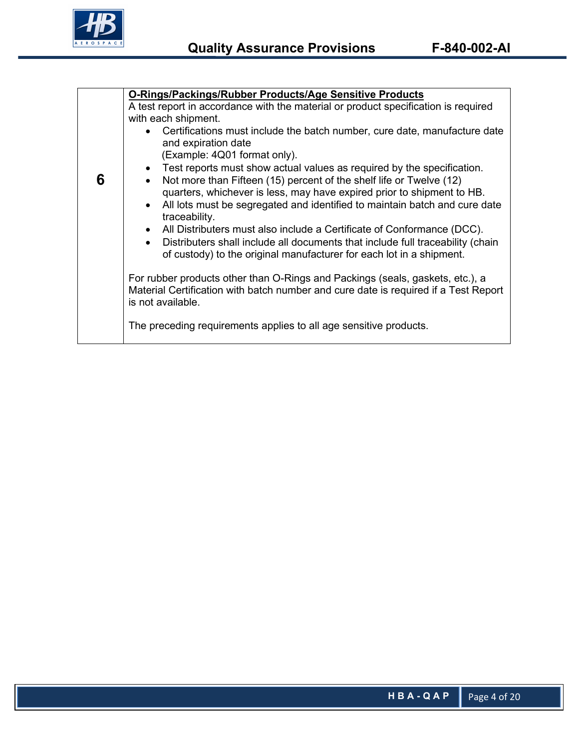

|                                                                                                    | O-Rings/Packings/Rubber Products/Age Sensitive Products                                                                                                                                   |  |  |  |  |  |
|----------------------------------------------------------------------------------------------------|-------------------------------------------------------------------------------------------------------------------------------------------------------------------------------------------|--|--|--|--|--|
|                                                                                                    | A test report in accordance with the material or product specification is required                                                                                                        |  |  |  |  |  |
|                                                                                                    | with each shipment.                                                                                                                                                                       |  |  |  |  |  |
| • Certifications must include the batch number, cure date, manufacture date<br>and expiration date |                                                                                                                                                                                           |  |  |  |  |  |
|                                                                                                    | (Example: 4Q01 format only).                                                                                                                                                              |  |  |  |  |  |
|                                                                                                    | • Test reports must show actual values as required by the specification.                                                                                                                  |  |  |  |  |  |
| 6                                                                                                  | Not more than Fifteen (15) percent of the shelf life or Twelve (12)<br>quarters, whichever is less, may have expired prior to shipment to HB.                                             |  |  |  |  |  |
|                                                                                                    | All lots must be segregated and identified to maintain batch and cure date<br>$\bullet$<br>traceability.                                                                                  |  |  |  |  |  |
|                                                                                                    | • All Distributers must also include a Certificate of Conformance (DCC).                                                                                                                  |  |  |  |  |  |
|                                                                                                    | Distributers shall include all documents that include full traceability (chain<br>of custody) to the original manufacturer for each lot in a shipment.                                    |  |  |  |  |  |
|                                                                                                    | For rubber products other than O-Rings and Packings (seals, gaskets, etc.), a<br>Material Certification with batch number and cure date is required if a Test Report<br>is not available. |  |  |  |  |  |
|                                                                                                    | The preceding requirements applies to all age sensitive products.                                                                                                                         |  |  |  |  |  |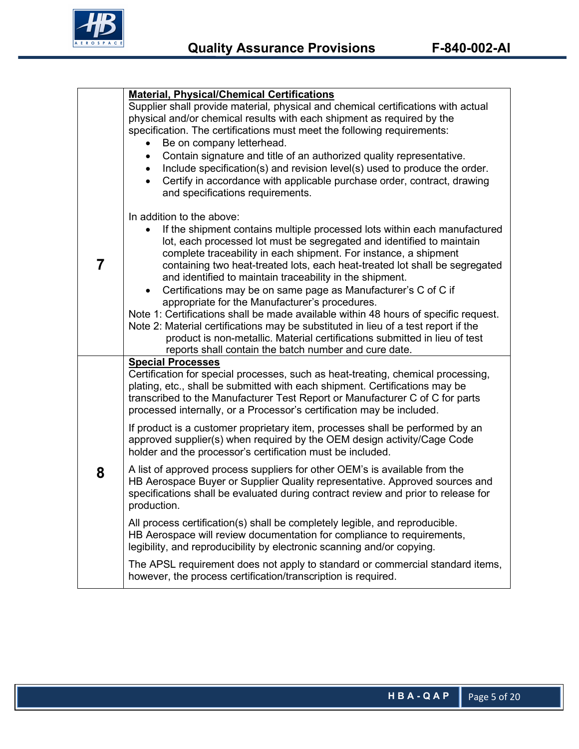

|   | <b>Material, Physical/Chemical Certifications</b>                                      |  |  |  |  |  |
|---|----------------------------------------------------------------------------------------|--|--|--|--|--|
|   | Supplier shall provide material, physical and chemical certifications with actual      |  |  |  |  |  |
|   | physical and/or chemical results with each shipment as required by the                 |  |  |  |  |  |
|   | specification. The certifications must meet the following requirements:                |  |  |  |  |  |
|   | Be on company letterhead.                                                              |  |  |  |  |  |
|   | Contain signature and title of an authorized quality representative.<br>$\bullet$      |  |  |  |  |  |
|   | Include specification(s) and revision level(s) used to produce the order.<br>$\bullet$ |  |  |  |  |  |
|   | Certify in accordance with applicable purchase order, contract, drawing<br>$\bullet$   |  |  |  |  |  |
|   | and specifications requirements.                                                       |  |  |  |  |  |
|   | In addition to the above:                                                              |  |  |  |  |  |
|   | If the shipment contains multiple processed lots within each manufactured              |  |  |  |  |  |
|   | lot, each processed lot must be segregated and identified to maintain                  |  |  |  |  |  |
|   | complete traceability in each shipment. For instance, a shipment                       |  |  |  |  |  |
| 7 | containing two heat-treated lots, each heat-treated lot shall be segregated            |  |  |  |  |  |
|   | and identified to maintain traceability in the shipment.                               |  |  |  |  |  |
|   | Certifications may be on same page as Manufacturer's C of C if<br>$\bullet$            |  |  |  |  |  |
|   | appropriate for the Manufacturer's procedures.                                         |  |  |  |  |  |
|   | Note 1: Certifications shall be made available within 48 hours of specific request.    |  |  |  |  |  |
|   | Note 2: Material certifications may be substituted in lieu of a test report if the     |  |  |  |  |  |
|   | product is non-metallic. Material certifications submitted in lieu of test             |  |  |  |  |  |
|   | reports shall contain the batch number and cure date.                                  |  |  |  |  |  |
|   | <b>Special Processes</b>                                                               |  |  |  |  |  |
|   | Certification for special processes, such as heat-treating, chemical processing,       |  |  |  |  |  |
|   | plating, etc., shall be submitted with each shipment. Certifications may be            |  |  |  |  |  |
|   | transcribed to the Manufacturer Test Report or Manufacturer C of C for parts           |  |  |  |  |  |
|   | processed internally, or a Processor's certification may be included.                  |  |  |  |  |  |
|   | If product is a customer proprietary item, processes shall be performed by an          |  |  |  |  |  |
|   | approved supplier(s) when required by the OEM design activity/Cage Code                |  |  |  |  |  |
|   | holder and the processor's certification must be included.                             |  |  |  |  |  |
| 8 | A list of approved process suppliers for other OEM's is available from the             |  |  |  |  |  |
|   | HB Aerospace Buyer or Supplier Quality representative. Approved sources and            |  |  |  |  |  |
|   | specifications shall be evaluated during contract review and prior to release for      |  |  |  |  |  |
|   | production.                                                                            |  |  |  |  |  |
|   | All process certification(s) shall be completely legible, and reproducible.            |  |  |  |  |  |
|   | HB Aerospace will review documentation for compliance to requirements,                 |  |  |  |  |  |
|   | legibility, and reproducibility by electronic scanning and/or copying.                 |  |  |  |  |  |
|   | The APSL requirement does not apply to standard or commercial standard items,          |  |  |  |  |  |
|   | however, the process certification/transcription is required.                          |  |  |  |  |  |
|   |                                                                                        |  |  |  |  |  |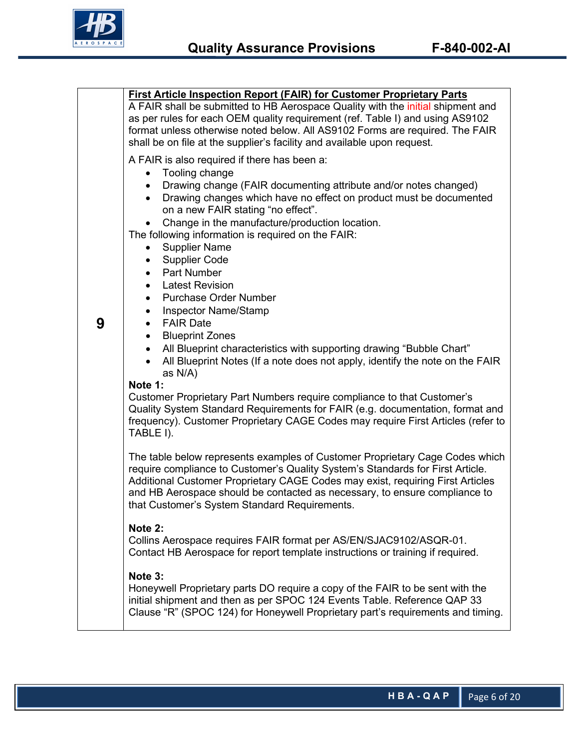

|   | <b>First Article Inspection Report (FAIR) for Customer Proprietary Parts</b><br>A FAIR shall be submitted to HB Aerospace Quality with the initial shipment and<br>as per rules for each OEM quality requirement (ref. Table I) and using AS9102<br>format unless otherwise noted below. All AS9102 Forms are required. The FAIR<br>shall be on file at the supplier's facility and available upon request. |  |  |  |  |
|---|-------------------------------------------------------------------------------------------------------------------------------------------------------------------------------------------------------------------------------------------------------------------------------------------------------------------------------------------------------------------------------------------------------------|--|--|--|--|
| 9 | A FAIR is also required if there has been a:<br>• Tooling change<br>Drawing change (FAIR documenting attribute and/or notes changed)<br>Drawing changes which have no effect on product must be documented<br>$\bullet$<br>on a new FAIR stating "no effect".                                                                                                                                               |  |  |  |  |
|   | Change in the manufacture/production location.<br>The following information is required on the FAIR:<br><b>Supplier Name</b><br><b>Supplier Code</b><br>$\bullet$<br><b>Part Number</b><br>$\bullet$<br>• Latest Revision                                                                                                                                                                                   |  |  |  |  |
|   | <b>Purchase Order Number</b><br>$\bullet$<br><b>Inspector Name/Stamp</b><br>٠<br><b>FAIR Date</b><br>$\bullet$<br><b>Blueprint Zones</b><br>$\bullet$<br>All Blueprint characteristics with supporting drawing "Bubble Chart"<br>$\bullet$                                                                                                                                                                  |  |  |  |  |
|   | All Blueprint Notes (If a note does not apply, identify the note on the FAIR<br>as N/A)<br>Note 1:<br>Customer Proprietary Part Numbers require compliance to that Customer's<br>Quality System Standard Requirements for FAIR (e.g. documentation, format and<br>frequency). Customer Proprietary CAGE Codes may require First Articles (refer to<br>TABLE I).                                             |  |  |  |  |
|   | The table below represents examples of Customer Proprietary Cage Codes which<br>require compliance to Customer's Quality System's Standards for First Article.<br>Additional Customer Proprietary CAGE Codes may exist, requiring First Articles<br>and HB Aerospace should be contacted as necessary, to ensure compliance to<br>that Customer's System Standard Requirements.                             |  |  |  |  |
|   | Note 2:<br>Collins Aerospace requires FAIR format per AS/EN/SJAC9102/ASQR-01.<br>Contact HB Aerospace for report template instructions or training if required.                                                                                                                                                                                                                                             |  |  |  |  |
|   | Note 3:<br>Honeywell Proprietary parts DO require a copy of the FAIR to be sent with the<br>initial shipment and then as per SPOC 124 Events Table. Reference QAP 33<br>Clause "R" (SPOC 124) for Honeywell Proprietary part's requirements and timing.                                                                                                                                                     |  |  |  |  |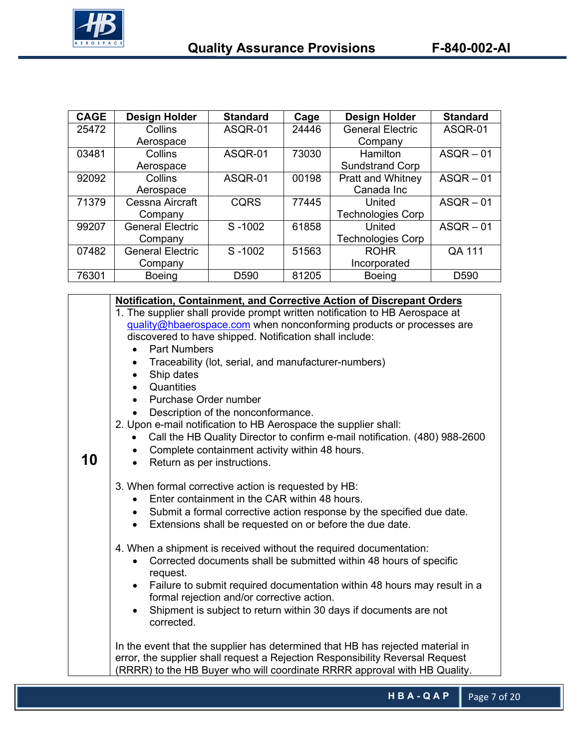

| <b>CAGE</b> | Design Holder                         | <b>Standard</b>  | Cage  | Design Holder            | <b>Standard</b>  |
|-------------|---------------------------------------|------------------|-------|--------------------------|------------------|
| 25472       | Collins                               | ASQR-01          | 24446 | <b>General Electric</b>  | ASQR-01          |
|             | Aerospace                             |                  |       | Company                  |                  |
| 03481       | Collins                               | ASQR-01          | 73030 | Hamilton                 | $ASQR - 01$      |
|             | Aerospace                             |                  |       | <b>Sundstrand Corp</b>   |                  |
| 92092       | Collins                               | ASQR-01          | 00198 | <b>Pratt and Whitney</b> | $ASQR - 01$      |
|             | Aerospace                             |                  |       | Canada Inc               |                  |
| 71379       | Cessna Aircraft                       | <b>CQRS</b>      | 77445 | United                   | $ASQR - 01$      |
|             | Company                               |                  |       | <b>Technologies Corp</b> |                  |
| 99207       | <b>General Electric</b><br>S-1002     |                  | 61858 | United                   | $ASQR - 01$      |
|             | Company                               |                  |       | <b>Technologies Corp</b> |                  |
| 07482       | <b>General Electric</b><br>$S - 1002$ |                  | 51563 | <b>ROHR</b>              | QA 111           |
|             | Company                               |                  |       | Incorporated             |                  |
| 76301       | <b>Boeing</b>                         | D <sub>590</sub> | 81205 | <b>Boeing</b>            | D <sub>590</sub> |

|    | Notification, Containment, and Corrective Action of Discrepant Orders                                                                            |  |  |  |  |  |
|----|--------------------------------------------------------------------------------------------------------------------------------------------------|--|--|--|--|--|
|    | 1. The supplier shall provide prompt written notification to HB Aerospace at                                                                     |  |  |  |  |  |
|    | quality@hbaerospace.com when nonconforming products or processes are                                                                             |  |  |  |  |  |
|    | discovered to have shipped. Notification shall include:                                                                                          |  |  |  |  |  |
|    | <b>Part Numbers</b>                                                                                                                              |  |  |  |  |  |
|    | Traceability (lot, serial, and manufacturer-numbers)                                                                                             |  |  |  |  |  |
|    | Ship dates<br>$\bullet$                                                                                                                          |  |  |  |  |  |
|    | Quantities                                                                                                                                       |  |  |  |  |  |
|    | Purchase Order number                                                                                                                            |  |  |  |  |  |
|    | Description of the nonconformance.                                                                                                               |  |  |  |  |  |
|    | 2. Upon e-mail notification to HB Aerospace the supplier shall:                                                                                  |  |  |  |  |  |
|    | Call the HB Quality Director to confirm e-mail notification. (480) 988-2600                                                                      |  |  |  |  |  |
|    | Complete containment activity within 48 hours.                                                                                                   |  |  |  |  |  |
| 10 | Return as per instructions.                                                                                                                      |  |  |  |  |  |
|    |                                                                                                                                                  |  |  |  |  |  |
|    | 3. When formal corrective action is requested by HB:                                                                                             |  |  |  |  |  |
|    | Enter containment in the CAR within 48 hours.                                                                                                    |  |  |  |  |  |
|    | • Submit a formal corrective action response by the specified due date.<br>Extensions shall be requested on or before the due date.<br>$\bullet$ |  |  |  |  |  |
|    |                                                                                                                                                  |  |  |  |  |  |
|    | 4. When a shipment is received without the required documentation:                                                                               |  |  |  |  |  |
|    | Corrected documents shall be submitted within 48 hours of specific                                                                               |  |  |  |  |  |
|    | request.                                                                                                                                         |  |  |  |  |  |
|    | Failure to submit required documentation within 48 hours may result in a                                                                         |  |  |  |  |  |
|    | formal rejection and/or corrective action.                                                                                                       |  |  |  |  |  |
|    | Shipment is subject to return within 30 days if documents are not                                                                                |  |  |  |  |  |
|    | corrected.                                                                                                                                       |  |  |  |  |  |
|    |                                                                                                                                                  |  |  |  |  |  |
|    | In the event that the supplier has determined that HB has rejected material in                                                                   |  |  |  |  |  |
|    | error, the supplier shall request a Rejection Responsibility Reversal Request                                                                    |  |  |  |  |  |
|    | (RRRR) to the HB Buyer who will coordinate RRRR approval with HB Quality.                                                                        |  |  |  |  |  |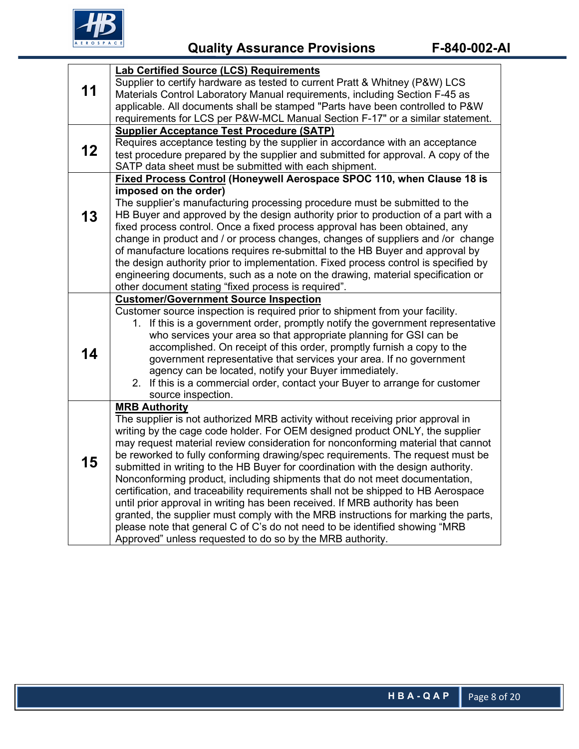

 **Quality Assurance Provisions F-840-002-AI**

|    | <b>Lab Certified Source (LCS) Requirements</b>                                                                                                                    |  |  |  |  |
|----|-------------------------------------------------------------------------------------------------------------------------------------------------------------------|--|--|--|--|
|    | Supplier to certify hardware as tested to current Pratt & Whitney (P&W) LCS                                                                                       |  |  |  |  |
| 11 | Materials Control Laboratory Manual requirements, including Section F-45 as                                                                                       |  |  |  |  |
|    | applicable. All documents shall be stamped "Parts have been controlled to P&W                                                                                     |  |  |  |  |
|    | requirements for LCS per P&W-MCL Manual Section F-17" or a similar statement.                                                                                     |  |  |  |  |
|    | <b>Supplier Acceptance Test Procedure (SATP)</b>                                                                                                                  |  |  |  |  |
| 12 | Requires acceptance testing by the supplier in accordance with an acceptance                                                                                      |  |  |  |  |
|    | test procedure prepared by the supplier and submitted for approval. A copy of the                                                                                 |  |  |  |  |
|    | SATP data sheet must be submitted with each shipment.                                                                                                             |  |  |  |  |
|    | Fixed Process Control (Honeywell Aerospace SPOC 110, when Clause 18 is                                                                                            |  |  |  |  |
|    | imposed on the order)                                                                                                                                             |  |  |  |  |
|    | The supplier's manufacturing processing procedure must be submitted to the                                                                                        |  |  |  |  |
| 13 | HB Buyer and approved by the design authority prior to production of a part with a<br>fixed process control. Once a fixed process approval has been obtained, any |  |  |  |  |
|    | change in product and / or process changes, changes of suppliers and /or change                                                                                   |  |  |  |  |
|    | of manufacture locations requires re-submittal to the HB Buyer and approval by                                                                                    |  |  |  |  |
|    | the design authority prior to implementation. Fixed process control is specified by                                                                               |  |  |  |  |
|    | engineering documents, such as a note on the drawing, material specification or                                                                                   |  |  |  |  |
|    | other document stating "fixed process is required".                                                                                                               |  |  |  |  |
|    | <b>Customer/Government Source Inspection</b>                                                                                                                      |  |  |  |  |
|    | Customer source inspection is required prior to shipment from your facility.                                                                                      |  |  |  |  |
|    | 1. If this is a government order, promptly notify the government representative                                                                                   |  |  |  |  |
|    | who services your area so that appropriate planning for GSI can be                                                                                                |  |  |  |  |
| 14 | accomplished. On receipt of this order, promptly furnish a copy to the                                                                                            |  |  |  |  |
|    | government representative that services your area. If no government                                                                                               |  |  |  |  |
|    | agency can be located, notify your Buyer immediately.                                                                                                             |  |  |  |  |
|    | 2. If this is a commercial order, contact your Buyer to arrange for customer                                                                                      |  |  |  |  |
|    | source inspection.                                                                                                                                                |  |  |  |  |
|    | <b>MRB Authority</b><br>The supplier is not authorized MRB activity without receiving prior approval in                                                           |  |  |  |  |
|    | writing by the cage code holder. For OEM designed product ONLY, the supplier                                                                                      |  |  |  |  |
|    | may request material review consideration for nonconforming material that cannot                                                                                  |  |  |  |  |
|    | be reworked to fully conforming drawing/spec requirements. The request must be                                                                                    |  |  |  |  |
| 15 | submitted in writing to the HB Buyer for coordination with the design authority.                                                                                  |  |  |  |  |
|    | Nonconforming product, including shipments that do not meet documentation,                                                                                        |  |  |  |  |
|    | certification, and traceability requirements shall not be shipped to HB Aerospace                                                                                 |  |  |  |  |
|    | until prior approval in writing has been received. If MRB authority has been                                                                                      |  |  |  |  |
|    | granted, the supplier must comply with the MRB instructions for marking the parts,                                                                                |  |  |  |  |
|    | please note that general C of C's do not need to be identified showing "MRB                                                                                       |  |  |  |  |
|    | Approved" unless requested to do so by the MRB authority.                                                                                                         |  |  |  |  |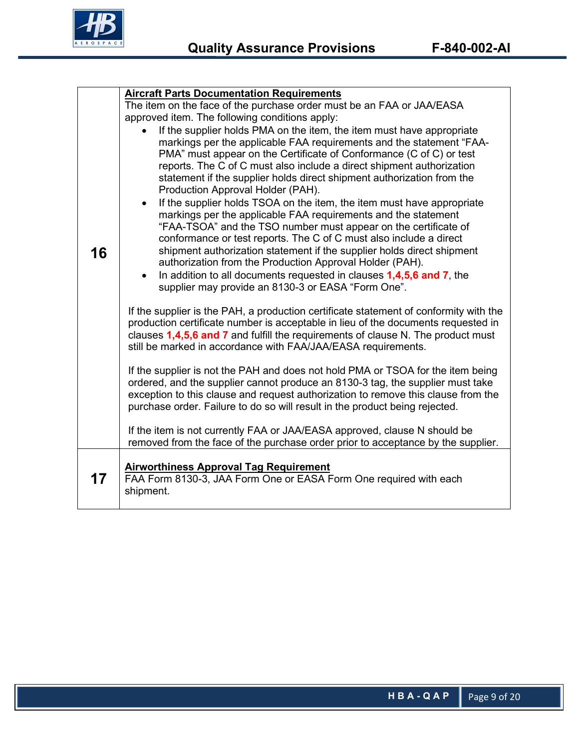

|    | <b>Aircraft Parts Documentation Requirements</b>                                                                                                                                                                                                                                                                                                                                                                                                                                                                                                                                                                                                                                                                                                                                                                                                                                                                                                                      |  |  |  |  |  |
|----|-----------------------------------------------------------------------------------------------------------------------------------------------------------------------------------------------------------------------------------------------------------------------------------------------------------------------------------------------------------------------------------------------------------------------------------------------------------------------------------------------------------------------------------------------------------------------------------------------------------------------------------------------------------------------------------------------------------------------------------------------------------------------------------------------------------------------------------------------------------------------------------------------------------------------------------------------------------------------|--|--|--|--|--|
|    | The item on the face of the purchase order must be an FAA or JAA/EASA                                                                                                                                                                                                                                                                                                                                                                                                                                                                                                                                                                                                                                                                                                                                                                                                                                                                                                 |  |  |  |  |  |
|    | approved item. The following conditions apply:                                                                                                                                                                                                                                                                                                                                                                                                                                                                                                                                                                                                                                                                                                                                                                                                                                                                                                                        |  |  |  |  |  |
| 16 | If the supplier holds PMA on the item, the item must have appropriate<br>markings per the applicable FAA requirements and the statement "FAA-<br>PMA" must appear on the Certificate of Conformance (C of C) or test<br>reports. The C of C must also include a direct shipment authorization<br>statement if the supplier holds direct shipment authorization from the<br>Production Approval Holder (PAH).<br>If the supplier holds TSOA on the item, the item must have appropriate<br>markings per the applicable FAA requirements and the statement<br>"FAA-TSOA" and the TSO number must appear on the certificate of<br>conformance or test reports. The C of C must also include a direct<br>shipment authorization statement if the supplier holds direct shipment<br>authorization from the Production Approval Holder (PAH).<br>In addition to all documents requested in clauses 1,4,5,6 and 7, the<br>supplier may provide an 8130-3 or EASA "Form One". |  |  |  |  |  |
|    | If the supplier is the PAH, a production certificate statement of conformity with the<br>production certificate number is acceptable in lieu of the documents requested in<br>clauses 1,4,5,6 and 7 and fulfill the requirements of clause N. The product must<br>still be marked in accordance with FAA/JAA/EASA requirements.                                                                                                                                                                                                                                                                                                                                                                                                                                                                                                                                                                                                                                       |  |  |  |  |  |
|    | If the supplier is not the PAH and does not hold PMA or TSOA for the item being<br>ordered, and the supplier cannot produce an 8130-3 tag, the supplier must take<br>exception to this clause and request authorization to remove this clause from the<br>purchase order. Failure to do so will result in the product being rejected.                                                                                                                                                                                                                                                                                                                                                                                                                                                                                                                                                                                                                                 |  |  |  |  |  |
|    | If the item is not currently FAA or JAA/EASA approved, clause N should be<br>removed from the face of the purchase order prior to acceptance by the supplier.                                                                                                                                                                                                                                                                                                                                                                                                                                                                                                                                                                                                                                                                                                                                                                                                         |  |  |  |  |  |
| 17 | <b>Airworthiness Approval Tag Requirement</b><br>FAA Form 8130-3, JAA Form One or EASA Form One required with each<br>shipment.                                                                                                                                                                                                                                                                                                                                                                                                                                                                                                                                                                                                                                                                                                                                                                                                                                       |  |  |  |  |  |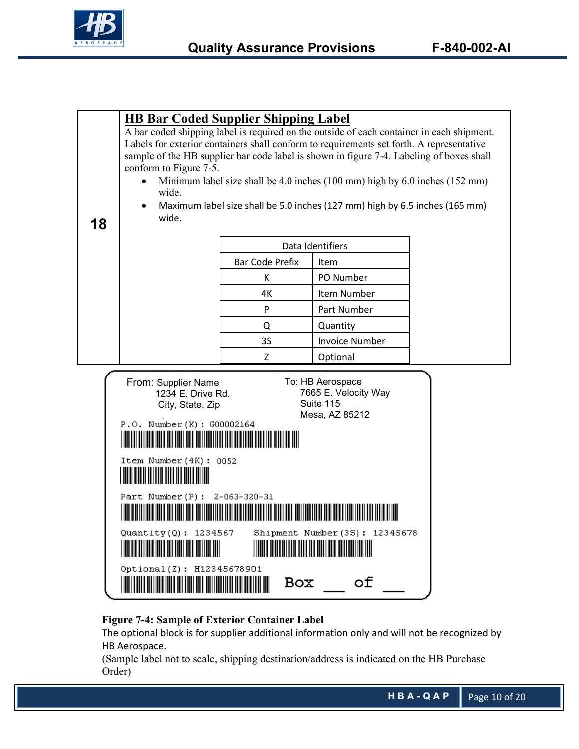

**18**

### **HB Bar Coded Supplier Shipping Label**

A bar coded shipping label is required on the outside of each container in each shipment. Labels for exterior containers shall conform to requirements set forth. A representative sample of the HB supplier bar code label is shown in figure 7-4. Labeling of boxes shall conform to Figure 7-5.

- Minimum label size shall be 4.0 inches (100 mm) high by 6.0 inches (152 mm) wide.
- Maximum label size shall be 5.0 inches (127 mm) high by 6.5 inches (165 mm) wide.

| Data Identifiers       |                       |  |
|------------------------|-----------------------|--|
| <b>Bar Code Prefix</b> | Item                  |  |
| к                      | PO Number             |  |
| 4К                     | Item Number           |  |
| P                      | Part Number           |  |
| Q                      | Quantity              |  |
| 3S                     | <b>Invoice Number</b> |  |
| 7                      | Optional              |  |

| From: Supplier Name                                                                                                    | To: HB Aerospace                                      |
|------------------------------------------------------------------------------------------------------------------------|-------------------------------------------------------|
| 1234 E. Drive Rd.                                                                                                      | 7665 E. Velocity Way                                  |
| City, State, Zip                                                                                                       | Suite 115                                             |
|                                                                                                                        | Mesa, AZ 85212                                        |
| P.O. Number (K): G00002164                                                                                             |                                                       |
| <u> HIII DI HIII DI HIII DI HIII DI HIII DI HIII DI HIII DI HIII DI HIII DI HIII DI HIII DI HIII DI HIII DI HIII</u>   |                                                       |
|                                                                                                                        |                                                       |
| Item Number $(4K)$ : 0052                                                                                              |                                                       |
|                                                                                                                        |                                                       |
| <b>The Common Section</b>                                                                                              |                                                       |
| Part Number(P): 2-063-320-31                                                                                           |                                                       |
|                                                                                                                        |                                                       |
| <u> Handel Handels Handels Handels Handels Handels Handels Handels Handels Handels Handels Handels Handels Handels</u> |                                                       |
| Quantity(Q): $1234567$                                                                                                 | Shipment Number (3S): 12345678                        |
|                                                                                                                        |                                                       |
| <u> Hillian Maria Maria Maria Ma</u>                                                                                   | <u> III de la provincia del mando del monte del m</u> |
|                                                                                                                        |                                                       |
| Optional(Z): H12345678901                                                                                              |                                                       |
|                                                                                                                        | оf<br>Box                                             |
|                                                                                                                        |                                                       |

### **Figure 7-4: Sample of Exterior Container Label**

The optional block is for supplier additional information only and will not be recognized by HB Aerospace.

(Sample label not to scale, shipping destination/address is indicated on the HB Purchase Order)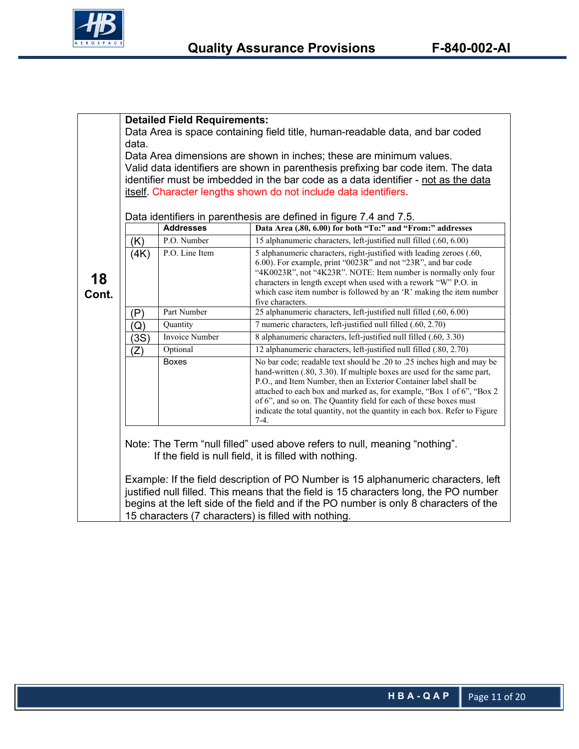

|             | <b>Detailed Field Requirements:</b>                                                   |                  |                                                                                                                                                 |  |
|-------------|---------------------------------------------------------------------------------------|------------------|-------------------------------------------------------------------------------------------------------------------------------------------------|--|
|             | Data Area is space containing field title, human-readable data, and bar coded         |                  |                                                                                                                                                 |  |
|             | data.                                                                                 |                  |                                                                                                                                                 |  |
|             | Data Area dimensions are shown in inches; these are minimum values.                   |                  |                                                                                                                                                 |  |
|             |                                                                                       |                  | Valid data identifiers are shown in parenthesis prefixing bar code item. The data                                                               |  |
|             |                                                                                       |                  | identifier must be imbedded in the bar code as a data identifier - not as the data                                                              |  |
|             |                                                                                       |                  | itself. Character lengths shown do not include data identifiers.                                                                                |  |
|             |                                                                                       |                  |                                                                                                                                                 |  |
|             |                                                                                       |                  | Data identifiers in parenthesis are defined in figure 7.4 and 7.5.                                                                              |  |
|             |                                                                                       | <b>Addresses</b> | Data Area (.80, 6.00) for both "To:" and "From:" addresses                                                                                      |  |
|             | (K)                                                                                   | P.O. Number      | 15 alphanumeric characters, left-justified null filled (.60, 6.00)                                                                              |  |
| 18<br>Cont. | (4K)                                                                                  | P.O. Line Item   | 5 alphanumeric characters, right-justified with leading zeroes (.60,<br>6.00). For example, print "0023R" and not "23R", and bar code           |  |
|             |                                                                                       |                  | "4K0023R", not "4K23R". NOTE: Item number is normally only four                                                                                 |  |
|             |                                                                                       |                  | characters in length except when used with a rework "W" P.O. in                                                                                 |  |
|             |                                                                                       |                  | which case item number is followed by an 'R' making the item number                                                                             |  |
|             | (P)                                                                                   | Part Number      | five characters.<br>25 alphanumeric characters, left-justified null filled (.60, 6.00)                                                          |  |
|             | Q)                                                                                    | Quantity         | 7 numeric characters, left-justified null filled (.60, 2.70)                                                                                    |  |
|             | (3S)                                                                                  | Invoice Number   | 8 alphanumeric characters, left-justified null filled (.60, 3.30)                                                                               |  |
|             | $(\mathsf{Z})$                                                                        | Optional         | 12 alphanumeric characters, left-justified null filled (.80, 2.70)                                                                              |  |
|             |                                                                                       | <b>Boxes</b>     | No bar code; readable text should be .20 to .25 inches high and may be                                                                          |  |
|             |                                                                                       |                  | hand-written (.80, 3.30). If multiple boxes are used for the same part,                                                                         |  |
|             |                                                                                       |                  | P.O., and Item Number, then an Exterior Container label shall be                                                                                |  |
|             |                                                                                       |                  | attached to each box and marked as, for example, "Box 1 of 6", "Box 2                                                                           |  |
|             |                                                                                       |                  | of 6", and so on. The Quantity field for each of these boxes must<br>indicate the total quantity, not the quantity in each box. Refer to Figure |  |
|             |                                                                                       |                  | $7-4.$                                                                                                                                          |  |
|             |                                                                                       |                  |                                                                                                                                                 |  |
|             |                                                                                       |                  | Note: The Term "null filled" used above refers to null, meaning "nothing".                                                                      |  |
|             |                                                                                       |                  | If the field is null field, it is filled with nothing.                                                                                          |  |
|             |                                                                                       |                  |                                                                                                                                                 |  |
|             |                                                                                       |                  | Example: If the field description of PO Number is 15 alphanumeric characters, left                                                              |  |
|             |                                                                                       |                  | justified null filled. This means that the field is 15 characters long, the PO number                                                           |  |
|             | begins at the left side of the field and if the PO number is only 8 characters of the |                  |                                                                                                                                                 |  |
|             |                                                                                       |                  | 15 characters (7 characters) is filled with nothing.                                                                                            |  |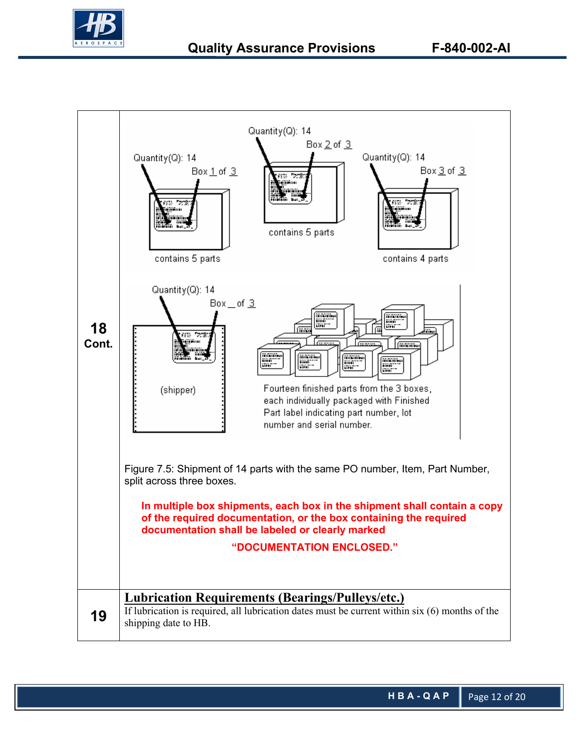

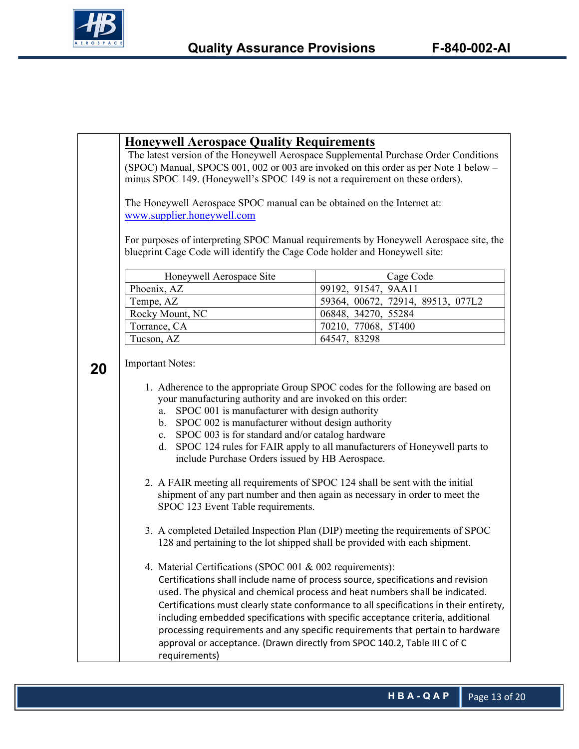

|    | <b>Honeywell Aerospace Quality Requirements</b><br>The latest version of the Honeywell Aerospace Supplemental Purchase Order Conditions<br>(SPOC) Manual, SPOCS 001, 002 or 003 are invoked on this order as per Note 1 below -<br>minus SPOC 149. (Honeywell's SPOC 149 is not a requirement on these orders).                                                                                                                                                                                                                                                                                                                                                                                                                                             |                                   |  |  |  |
|----|-------------------------------------------------------------------------------------------------------------------------------------------------------------------------------------------------------------------------------------------------------------------------------------------------------------------------------------------------------------------------------------------------------------------------------------------------------------------------------------------------------------------------------------------------------------------------------------------------------------------------------------------------------------------------------------------------------------------------------------------------------------|-----------------------------------|--|--|--|
|    | The Honeywell Aerospace SPOC manual can be obtained on the Internet at:<br>www.supplier.honeywell.com                                                                                                                                                                                                                                                                                                                                                                                                                                                                                                                                                                                                                                                       |                                   |  |  |  |
|    | For purposes of interpreting SPOC Manual requirements by Honeywell Aerospace site, the<br>blueprint Cage Code will identify the Cage Code holder and Honeywell site:                                                                                                                                                                                                                                                                                                                                                                                                                                                                                                                                                                                        |                                   |  |  |  |
|    |                                                                                                                                                                                                                                                                                                                                                                                                                                                                                                                                                                                                                                                                                                                                                             | Cage Code                         |  |  |  |
|    | Honeywell Aerospace Site                                                                                                                                                                                                                                                                                                                                                                                                                                                                                                                                                                                                                                                                                                                                    |                                   |  |  |  |
|    | Phoenix, AZ                                                                                                                                                                                                                                                                                                                                                                                                                                                                                                                                                                                                                                                                                                                                                 | 99192, 91547, 9AA11               |  |  |  |
|    | Tempe, AZ                                                                                                                                                                                                                                                                                                                                                                                                                                                                                                                                                                                                                                                                                                                                                   | 59364, 00672, 72914, 89513, 077L2 |  |  |  |
|    | Rocky Mount, NC                                                                                                                                                                                                                                                                                                                                                                                                                                                                                                                                                                                                                                                                                                                                             | 06848, 34270, 55284               |  |  |  |
|    | Torrance, CA                                                                                                                                                                                                                                                                                                                                                                                                                                                                                                                                                                                                                                                                                                                                                | 70210, 77068, 5T400               |  |  |  |
|    | 64547, 83298<br>Tucson, AZ                                                                                                                                                                                                                                                                                                                                                                                                                                                                                                                                                                                                                                                                                                                                  |                                   |  |  |  |
| 20 | <b>Important Notes:</b><br>1. Adherence to the appropriate Group SPOC codes for the following are based on<br>your manufacturing authority and are invoked on this order:<br>SPOC 001 is manufacturer with design authority<br>a.<br>b. SPOC 002 is manufacturer without design authority<br>c. SPOC 003 is for standard and/or catalog hardware<br>d. SPOC 124 rules for FAIR apply to all manufacturers of Honeywell parts to<br>include Purchase Orders issued by HB Aerospace.<br>2. A FAIR meeting all requirements of SPOC 124 shall be sent with the initial<br>shipment of any part number and then again as necessary in order to meet the<br>SPOC 123 Event Table requirements.                                                                   |                                   |  |  |  |
|    | 3. A completed Detailed Inspection Plan (DIP) meeting the requirements of SPOC<br>128 and pertaining to the lot shipped shall be provided with each shipment.<br>4. Material Certifications (SPOC 001 & 002 requirements):<br>Certifications shall include name of process source, specifications and revision<br>used. The physical and chemical process and heat numbers shall be indicated.<br>Certifications must clearly state conformance to all specifications in their entirety,<br>including embedded specifications with specific acceptance criteria, additional<br>processing requirements and any specific requirements that pertain to hardware<br>approval or acceptance. (Drawn directly from SPOC 140.2, Table III C of C<br>requirements) |                                   |  |  |  |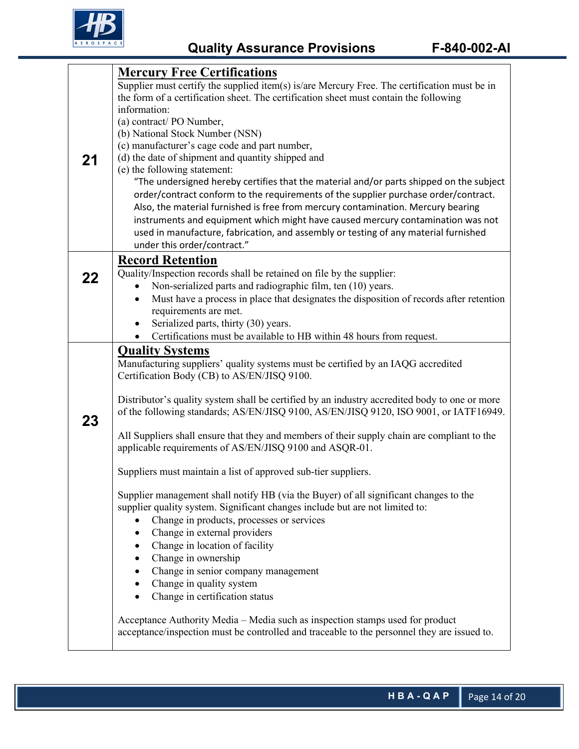

|    | <b>Mercury Free Certifications</b>                                                                   |  |  |
|----|------------------------------------------------------------------------------------------------------|--|--|
|    | Supplier must certify the supplied item(s) is/are Mercury Free. The certification must be in         |  |  |
|    | the form of a certification sheet. The certification sheet must contain the following                |  |  |
|    | information:                                                                                         |  |  |
|    | (a) contract/ PO Number,                                                                             |  |  |
| 21 | (b) National Stock Number (NSN)                                                                      |  |  |
|    | (c) manufacturer's cage code and part number,<br>(d) the date of shipment and quantity shipped and   |  |  |
|    | (e) the following statement:                                                                         |  |  |
|    | "The undersigned hereby certifies that the material and/or parts shipped on the subject              |  |  |
|    | order/contract conform to the requirements of the supplier purchase order/contract.                  |  |  |
|    | Also, the material furnished is free from mercury contamination. Mercury bearing                     |  |  |
|    | instruments and equipment which might have caused mercury contamination was not                      |  |  |
|    | used in manufacture, fabrication, and assembly or testing of any material furnished                  |  |  |
|    | under this order/contract."                                                                          |  |  |
|    | <b>Record Retention</b>                                                                              |  |  |
|    | Quality/Inspection records shall be retained on file by the supplier:                                |  |  |
| 22 | Non-serialized parts and radiographic film, ten (10) years.<br>٠                                     |  |  |
|    | Must have a process in place that designates the disposition of records after retention<br>$\bullet$ |  |  |
|    | requirements are met.                                                                                |  |  |
|    | Serialized parts, thirty (30) years.<br>$\bullet$                                                    |  |  |
|    | Certifications must be available to HB within 48 hours from request.<br>$\bullet$                    |  |  |
|    | <b>Quality Systems</b>                                                                               |  |  |
|    | Manufacturing suppliers' quality systems must be certified by an IAQG accredited                     |  |  |
|    | Certification Body (CB) to AS/EN/JISQ 9100.                                                          |  |  |
|    |                                                                                                      |  |  |
|    | Distributor's quality system shall be certified by an industry accredited body to one or more        |  |  |
|    | of the following standards; AS/EN/JISQ 9100, AS/EN/JISQ 9120, ISO 9001, or IATF16949.                |  |  |
| 23 |                                                                                                      |  |  |
|    | All Suppliers shall ensure that they and members of their supply chain are compliant to the          |  |  |
|    | applicable requirements of AS/EN/JISQ 9100 and ASQR-01.                                              |  |  |
|    | Suppliers must maintain a list of approved sub-tier suppliers.                                       |  |  |
|    |                                                                                                      |  |  |
|    | Supplier management shall notify HB (via the Buyer) of all significant changes to the                |  |  |
|    | supplier quality system. Significant changes include but are not limited to:                         |  |  |
|    | Change in products, processes or services                                                            |  |  |
|    | Change in external providers                                                                         |  |  |
|    | Change in location of facility<br>٠                                                                  |  |  |
|    | Change in ownership<br>$\bullet$                                                                     |  |  |
|    | Change in senior company management                                                                  |  |  |
|    | Change in quality system                                                                             |  |  |
|    | Change in certification status                                                                       |  |  |
|    |                                                                                                      |  |  |
|    | Acceptance Authority Media - Media such as inspection stamps used for product                        |  |  |
|    | acceptance/inspection must be controlled and traceable to the personnel they are issued to.          |  |  |
|    |                                                                                                      |  |  |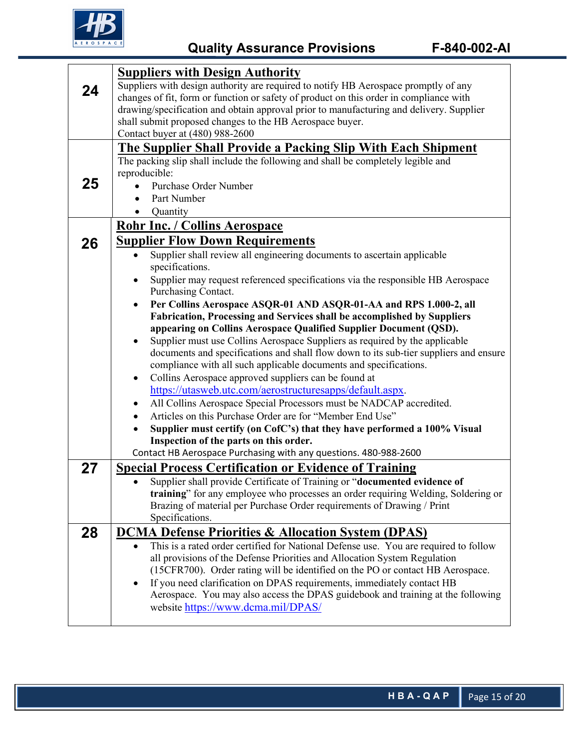

| 24 | <b>Suppliers with Design Authority</b><br>Suppliers with design authority are required to notify HB Aerospace promptly of any<br>changes of fit, form or function or safety of product on this order in compliance with<br>drawing/specification and obtain approval prior to manufacturing and delivery. Supplier<br>shall submit proposed changes to the HB Aerospace buyer.<br>Contact buyer at (480) 988-2600 |  |  |  |
|----|-------------------------------------------------------------------------------------------------------------------------------------------------------------------------------------------------------------------------------------------------------------------------------------------------------------------------------------------------------------------------------------------------------------------|--|--|--|
|    | <b>The Supplier Shall Provide a Packing Slip With Each Shipment</b>                                                                                                                                                                                                                                                                                                                                               |  |  |  |
| 25 | The packing slip shall include the following and shall be completely legible and<br>reproducible:<br>Purchase Order Number<br>Part Number<br>Quantity<br>$\bullet$                                                                                                                                                                                                                                                |  |  |  |
|    | <b>Rohr Inc. / Collins Aerospace</b>                                                                                                                                                                                                                                                                                                                                                                              |  |  |  |
|    |                                                                                                                                                                                                                                                                                                                                                                                                                   |  |  |  |
| 26 | <b>Supplier Flow Down Requirements</b><br>Supplier shall review all engineering documents to ascertain applicable<br>specifications.                                                                                                                                                                                                                                                                              |  |  |  |
|    | Supplier may request referenced specifications via the responsible HB Aerospace<br>٠<br>Purchasing Contact.                                                                                                                                                                                                                                                                                                       |  |  |  |
|    | Per Collins Aerospace ASQR-01 AND ASQR-01-AA and RPS 1.000-2, all                                                                                                                                                                                                                                                                                                                                                 |  |  |  |
|    | Fabrication, Processing and Services shall be accomplished by Suppliers                                                                                                                                                                                                                                                                                                                                           |  |  |  |
|    | appearing on Collins Aerospace Qualified Supplier Document (QSD).<br>Supplier must use Collins Aerospace Suppliers as required by the applicable                                                                                                                                                                                                                                                                  |  |  |  |
|    | documents and specifications and shall flow down to its sub-tier suppliers and ensure                                                                                                                                                                                                                                                                                                                             |  |  |  |
|    | compliance with all such applicable documents and specifications.                                                                                                                                                                                                                                                                                                                                                 |  |  |  |
|    | Collins Aerospace approved suppliers can be found at<br>٠                                                                                                                                                                                                                                                                                                                                                         |  |  |  |
|    | https://utasweb.utc.com/aerostructuresapps/default.aspx.                                                                                                                                                                                                                                                                                                                                                          |  |  |  |
|    | All Collins Aerospace Special Processors must be NADCAP accredited.                                                                                                                                                                                                                                                                                                                                               |  |  |  |
|    | Articles on this Purchase Order are for "Member End Use"<br>٠                                                                                                                                                                                                                                                                                                                                                     |  |  |  |
|    | Supplier must certify (on CofC's) that they have performed a 100% Visual                                                                                                                                                                                                                                                                                                                                          |  |  |  |
|    | Inspection of the parts on this order.                                                                                                                                                                                                                                                                                                                                                                            |  |  |  |
|    | Contact HB Aerospace Purchasing with any questions. 480-988-2600                                                                                                                                                                                                                                                                                                                                                  |  |  |  |
| 27 | <b>Special Process Certification or Evidence of Training</b>                                                                                                                                                                                                                                                                                                                                                      |  |  |  |
|    | Supplier shall provide Certificate of Training or "documented evidence of                                                                                                                                                                                                                                                                                                                                         |  |  |  |
|    | training" for any employee who processes an order requiring Welding, Soldering or                                                                                                                                                                                                                                                                                                                                 |  |  |  |
|    | Brazing of material per Purchase Order requirements of Drawing / Print                                                                                                                                                                                                                                                                                                                                            |  |  |  |
|    | Specifications.                                                                                                                                                                                                                                                                                                                                                                                                   |  |  |  |
| 28 | <b>DCMA Defense Priorities &amp; Allocation System (DPAS)</b>                                                                                                                                                                                                                                                                                                                                                     |  |  |  |
|    | This is a rated order certified for National Defense use. You are required to follow<br>$\bullet$                                                                                                                                                                                                                                                                                                                 |  |  |  |
|    | all provisions of the Defense Priorities and Allocation System Regulation                                                                                                                                                                                                                                                                                                                                         |  |  |  |
|    | (15CFR700). Order rating will be identified on the PO or contact HB Aerospace.                                                                                                                                                                                                                                                                                                                                    |  |  |  |
|    | If you need clarification on DPAS requirements, immediately contact HB<br>٠                                                                                                                                                                                                                                                                                                                                       |  |  |  |
|    | Aerospace. You may also access the DPAS guidebook and training at the following                                                                                                                                                                                                                                                                                                                                   |  |  |  |
|    | website https://www.dcma.mil/DPAS/                                                                                                                                                                                                                                                                                                                                                                                |  |  |  |
|    |                                                                                                                                                                                                                                                                                                                                                                                                                   |  |  |  |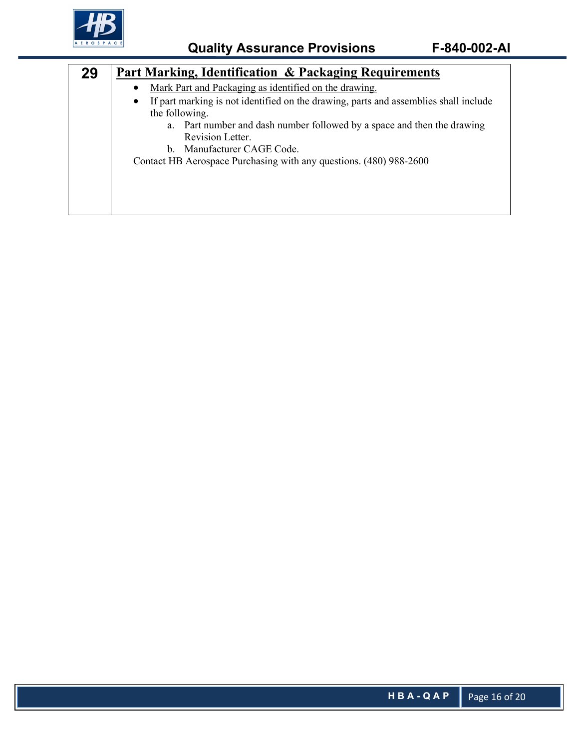

| 29 | Part Marking, Identification & Packaging Requirements                                                                                                                                                                                                                                                                     |  |  |  |
|----|---------------------------------------------------------------------------------------------------------------------------------------------------------------------------------------------------------------------------------------------------------------------------------------------------------------------------|--|--|--|
|    | Mark Part and Packaging as identified on the drawing.                                                                                                                                                                                                                                                                     |  |  |  |
|    | If part marking is not identified on the drawing, parts and assemblies shall include<br>$\bullet$<br>the following.<br>Part number and dash number followed by a space and then the drawing<br>a.<br>Revision Letter.<br>b. Manufacturer CAGE Code.<br>Contact HB Aerospace Purchasing with any questions. (480) 988-2600 |  |  |  |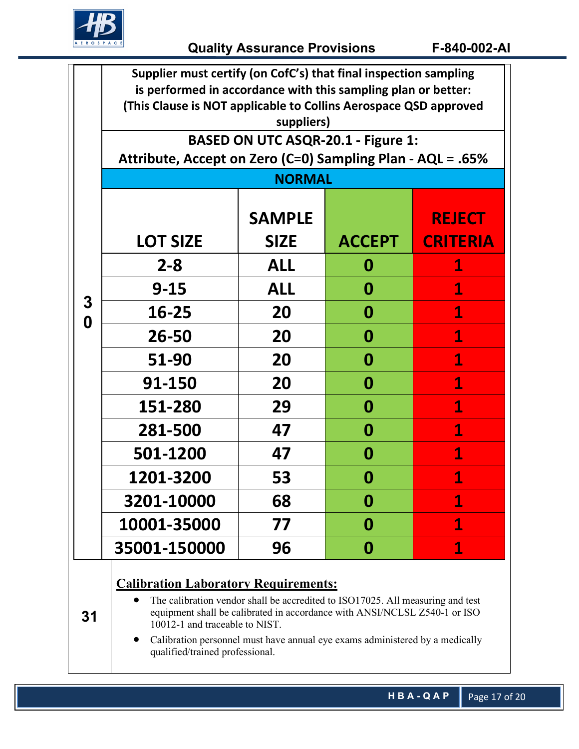

|        | Supplier must certify (on CofC's) that final inspection sampling<br>is performed in accordance with this sampling plan or better:<br>(This Clause is NOT applicable to Collins Aerospace QSD approved                                        |                                                            |               |                 |  |  |
|--------|----------------------------------------------------------------------------------------------------------------------------------------------------------------------------------------------------------------------------------------------|------------------------------------------------------------|---------------|-----------------|--|--|
|        |                                                                                                                                                                                                                                              | suppliers)<br><b>BASED ON UTC ASQR-20.1 - Figure 1:</b>    |               |                 |  |  |
|        |                                                                                                                                                                                                                                              |                                                            |               |                 |  |  |
|        |                                                                                                                                                                                                                                              | Attribute, Accept on Zero (C=0) Sampling Plan - AQL = .65% |               |                 |  |  |
|        |                                                                                                                                                                                                                                              | <b>NORMAL</b>                                              |               |                 |  |  |
|        |                                                                                                                                                                                                                                              | <b>SAMPLE</b>                                              |               | <b>REJECT</b>   |  |  |
|        | <b>LOT SIZE</b>                                                                                                                                                                                                                              | <b>SIZE</b>                                                | <b>ACCEPT</b> | <b>CRITERIA</b> |  |  |
| 3<br>0 | $2 - 8$                                                                                                                                                                                                                                      | <b>ALL</b>                                                 | 0             | $\mathbf 1$     |  |  |
|        | $9 - 15$                                                                                                                                                                                                                                     | <b>ALL</b>                                                 | 0             | 1               |  |  |
|        | 16-25                                                                                                                                                                                                                                        | 20                                                         | 0             | $\mathbf 1$     |  |  |
|        | 26-50                                                                                                                                                                                                                                        | 20                                                         | 0             | 1               |  |  |
|        | 51-90                                                                                                                                                                                                                                        | 20                                                         | 0             | 1               |  |  |
|        | 91-150                                                                                                                                                                                                                                       | 20                                                         | 0             | $\mathbf{1}$    |  |  |
|        | 151-280                                                                                                                                                                                                                                      | 29                                                         | 0             | $\mathbf 1$     |  |  |
|        | 281-500                                                                                                                                                                                                                                      | 47                                                         | 0             | 1               |  |  |
|        | 501-1200                                                                                                                                                                                                                                     | 47                                                         | 0             | 1               |  |  |
|        | <b>1201-3200</b>                                                                                                                                                                                                                             | 53                                                         | 0             | 1               |  |  |
|        | 3201-10000                                                                                                                                                                                                                                   | 68                                                         | 0             | 1               |  |  |
|        | 10001-35000                                                                                                                                                                                                                                  | 77                                                         | 0             | 1               |  |  |
|        | 35001-150000                                                                                                                                                                                                                                 | 96                                                         | 0             | $\mathbf 1$     |  |  |
| 31     | <b>Calibration Laboratory Requirements:</b><br>The calibration vendor shall be accredited to ISO17025. All measuring and test<br>equipment shall be calibrated in accordance with ANSI/NCLSL Z540-1 or ISO<br>10012-1 and traceable to NIST. |                                                            |               |                 |  |  |
|        | Calibration personnel must have annual eye exams administered by a medically<br>qualified/trained professional.                                                                                                                              |                                                            |               |                 |  |  |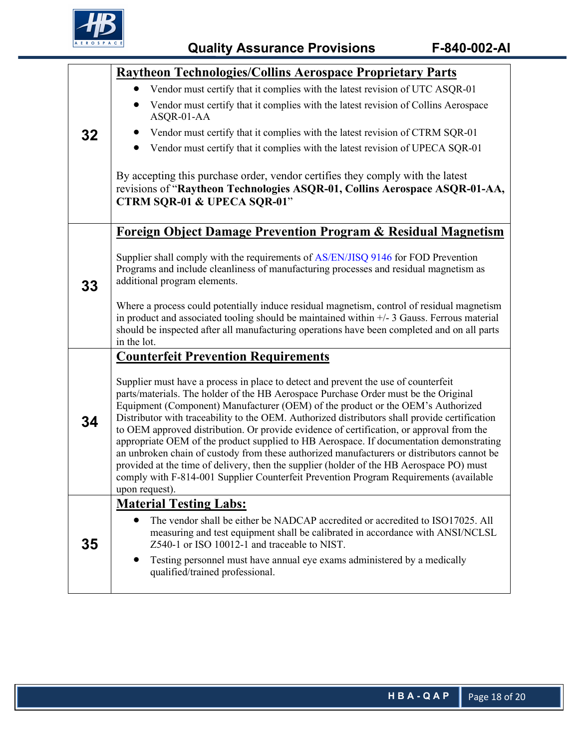

|    | Raytheon Technologies/Collins Aerospace Proprietary Parts                                                                                                                                                                                                                                                                                                                                                                                                                                                                                                                                                                                                                                                                                                                                                                                                 |  |  |
|----|-----------------------------------------------------------------------------------------------------------------------------------------------------------------------------------------------------------------------------------------------------------------------------------------------------------------------------------------------------------------------------------------------------------------------------------------------------------------------------------------------------------------------------------------------------------------------------------------------------------------------------------------------------------------------------------------------------------------------------------------------------------------------------------------------------------------------------------------------------------|--|--|
| 32 | Vendor must certify that it complies with the latest revision of UTC ASQR-01                                                                                                                                                                                                                                                                                                                                                                                                                                                                                                                                                                                                                                                                                                                                                                              |  |  |
|    | Vendor must certify that it complies with the latest revision of Collins Aerospace<br>ASQR-01-AA                                                                                                                                                                                                                                                                                                                                                                                                                                                                                                                                                                                                                                                                                                                                                          |  |  |
|    | Vendor must certify that it complies with the latest revision of CTRM SQR-01                                                                                                                                                                                                                                                                                                                                                                                                                                                                                                                                                                                                                                                                                                                                                                              |  |  |
|    | Vendor must certify that it complies with the latest revision of UPECA SQR-01                                                                                                                                                                                                                                                                                                                                                                                                                                                                                                                                                                                                                                                                                                                                                                             |  |  |
|    | By accepting this purchase order, vendor certifies they comply with the latest<br>revisions of "Raytheon Technologies ASQR-01, Collins Aerospace ASQR-01-AA,<br><b>CTRM SQR-01 &amp; UPECA SQR-01"</b>                                                                                                                                                                                                                                                                                                                                                                                                                                                                                                                                                                                                                                                    |  |  |
|    | <b>Foreign Object Damage Prevention Program &amp; Residual Magnetism</b>                                                                                                                                                                                                                                                                                                                                                                                                                                                                                                                                                                                                                                                                                                                                                                                  |  |  |
| 33 | Supplier shall comply with the requirements of AS/EN/JISQ 9146 for FOD Prevention<br>Programs and include cleanliness of manufacturing processes and residual magnetism as<br>additional program elements.                                                                                                                                                                                                                                                                                                                                                                                                                                                                                                                                                                                                                                                |  |  |
|    | Where a process could potentially induce residual magnetism, control of residual magnetism<br>in product and associated tooling should be maintained within $+/-3$ Gauss. Ferrous material<br>should be inspected after all manufacturing operations have been completed and on all parts<br>in the lot.                                                                                                                                                                                                                                                                                                                                                                                                                                                                                                                                                  |  |  |
|    | <b>Counterfeit Prevention Requirements</b>                                                                                                                                                                                                                                                                                                                                                                                                                                                                                                                                                                                                                                                                                                                                                                                                                |  |  |
| 34 | Supplier must have a process in place to detect and prevent the use of counterfeit<br>parts/materials. The holder of the HB Aerospace Purchase Order must be the Original<br>Equipment (Component) Manufacturer (OEM) of the product or the OEM's Authorized<br>Distributor with traceability to the OEM. Authorized distributors shall provide certification<br>to OEM approved distribution. Or provide evidence of certification, or approval from the<br>appropriate OEM of the product supplied to HB Aerospace. If documentation demonstrating<br>an unbroken chain of custody from these authorized manufacturers or distributors cannot be<br>provided at the time of delivery, then the supplier (holder of the HB Aerospace PO) must<br>comply with F-814-001 Supplier Counterfeit Prevention Program Requirements (available<br>upon request). |  |  |
|    | <b>Material Testing Labs:</b>                                                                                                                                                                                                                                                                                                                                                                                                                                                                                                                                                                                                                                                                                                                                                                                                                             |  |  |
| 35 | The vendor shall be either be NADCAP accredited or accredited to ISO17025. All<br>measuring and test equipment shall be calibrated in accordance with ANSI/NCLSL<br>Z540-1 or ISO 10012-1 and traceable to NIST.                                                                                                                                                                                                                                                                                                                                                                                                                                                                                                                                                                                                                                          |  |  |
|    | Testing personnel must have annual eye exams administered by a medically<br>$\bullet$<br>qualified/trained professional.                                                                                                                                                                                                                                                                                                                                                                                                                                                                                                                                                                                                                                                                                                                                  |  |  |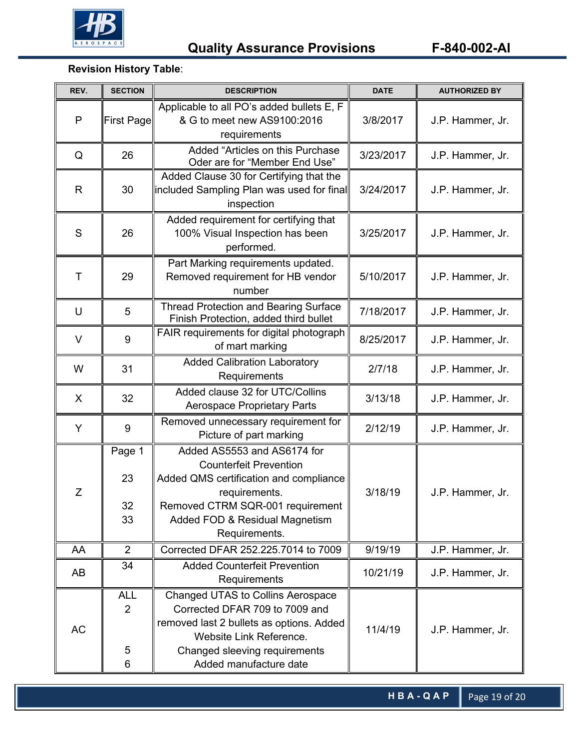

## **Revision History Table**:

| REV. | <b>SECTION</b>            | <b>DESCRIPTION</b>                                                                                                                                                                                             | <b>DATE</b> | <b>AUTHORIZED BY</b> |
|------|---------------------------|----------------------------------------------------------------------------------------------------------------------------------------------------------------------------------------------------------------|-------------|----------------------|
| P    | First Page                | Applicable to all PO's added bullets E, F<br>& G to meet new AS9100:2016<br>requirements                                                                                                                       | 3/8/2017    | J.P. Hammer, Jr.     |
| Q    | 26                        | Added "Articles on this Purchase<br>Oder are for "Member End Use"                                                                                                                                              | 3/23/2017   | J.P. Hammer, Jr.     |
| R    | 30                        | Added Clause 30 for Certifying that the<br>included Sampling Plan was used for final<br>inspection                                                                                                             | 3/24/2017   | J.P. Hammer, Jr.     |
| S    | 26                        | Added requirement for certifying that<br>100% Visual Inspection has been<br>performed.                                                                                                                         | 3/25/2017   | J.P. Hammer, Jr.     |
| T    | 29                        | Part Marking requirements updated.<br>Removed requirement for HB vendor<br>number                                                                                                                              | 5/10/2017   | J.P. Hammer, Jr.     |
| U    | 5                         | <b>Thread Protection and Bearing Surface</b><br>Finish Protection, added third bullet                                                                                                                          | 7/18/2017   | J.P. Hammer, Jr.     |
| V    | 9                         | FAIR requirements for digital photograph<br>of mart marking                                                                                                                                                    | 8/25/2017   | J.P. Hammer, Jr.     |
| W    | 31                        | <b>Added Calibration Laboratory</b><br>Requirements                                                                                                                                                            | 2/7/18      | J.P. Hammer, Jr.     |
| X    | 32                        | Added clause 32 for UTC/Collins<br><b>Aerospace Proprietary Parts</b>                                                                                                                                          | 3/13/18     | J.P. Hammer, Jr.     |
| Y    | 9                         | Removed unnecessary requirement for<br>Picture of part marking                                                                                                                                                 | 2/12/19     | J.P. Hammer, Jr.     |
| Z    | Page 1<br>23<br>32<br>33  | Added AS5553 and AS6174 for<br><b>Counterfeit Prevention</b><br>Added QMS certification and compliance<br>requirements.<br>Removed CTRM SQR-001 requirement<br>Added FOD & Residual Magnetism<br>Requirements. | 3/18/19     | J.P. Hammer, Jr.     |
| AA   | $\overline{2}$            | Corrected DFAR 252.225.7014 to 7009                                                                                                                                                                            | 9/19/19     | J.P. Hammer, Jr.     |
| AB   | 34                        | <b>Added Counterfeit Prevention</b><br>Requirements                                                                                                                                                            | 10/21/19    | J.P. Hammer, Jr.     |
| AC   | <b>ALL</b><br>2<br>5<br>6 | <b>Changed UTAS to Collins Aerospace</b><br>Corrected DFAR 709 to 7009 and<br>removed last 2 bullets as options. Added<br>Website Link Reference.<br>Changed sleeving requirements<br>Added manufacture date   | 11/4/19     | J.P. Hammer, Jr.     |